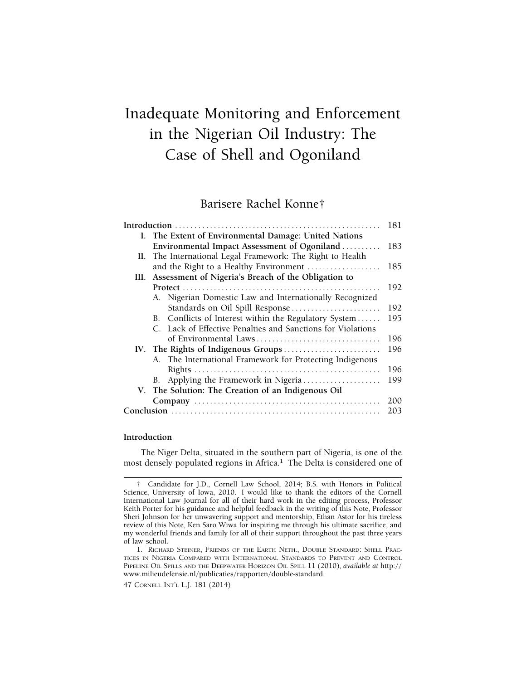# Inadequate Monitoring and Enforcement in the Nigerian Oil Industry: The Case of Shell and Ogoniland

# Barisere Rachel Konne†

|  |                                                             | 181 |
|--|-------------------------------------------------------------|-----|
|  | I. The Extent of Environmental Damage: United Nations       |     |
|  | Environmental Impact Assessment of Ogoniland                | 183 |
|  | II. The International Legal Framework: The Right to Health  |     |
|  | and the Right to a Healthy Environment                      | 185 |
|  | III. Assessment of Nigeria's Breach of the Obligation to    |     |
|  |                                                             | 192 |
|  | A. Nigerian Domestic Law and Internationally Recognized     |     |
|  | Standards on Oil Spill Response                             | 192 |
|  | B. Conflicts of Interest within the Regulatory System       | 195 |
|  | C. Lack of Effective Penalties and Sanctions for Violations |     |
|  |                                                             | 196 |
|  | IV. The Rights of Indigenous Groups                         | 196 |
|  | A. The International Framework for Protecting Indigenous    |     |
|  |                                                             | 196 |
|  | B. Applying the Framework in Nigeria                        | 199 |
|  | V. The Solution: The Creation of an Indigenous Oil          |     |
|  |                                                             | 200 |
|  |                                                             | 203 |
|  |                                                             |     |

#### **Introduction**

The Niger Delta, situated in the southern part of Nigeria, is one of the most densely populated regions in Africa.<sup>1</sup> The Delta is considered one of

<sup>†</sup> Candidate for J.D., Cornell Law School, 2014; B.S. with Honors in Political Science, University of Iowa, 2010. I would like to thank the editors of the Cornell International Law Journal for all of their hard work in the editing process, Professor Keith Porter for his guidance and helpful feedback in the writing of this Note, Professor Sheri Johnson for her unwavering support and mentorship, Ethan Astor for his tireless review of this Note, Ken Saro Wiwa for inspiring me through his ultimate sacrifice, and my wonderful friends and family for all of their support throughout the past three years of law school.

<sup>1.</sup> RICHARD STEINER, FRIENDS OF THE EARTH NETH., DOUBLE STANDARD: SHELL PRAC-TICES IN NIGERIA COMPARED WITH INTERNATIONAL STANDARDS TO PREVENT AND CONTROL PIPELINE OIL SPILLS AND THE DEEPWATER HORIZON OIL SPILL 11 (2010), *available at* http:// <www.milieudefensie.nl/publicaties/rapporten/double-standard>.

<sup>47</sup> CORNELL INT'L L.J. 181 (2014)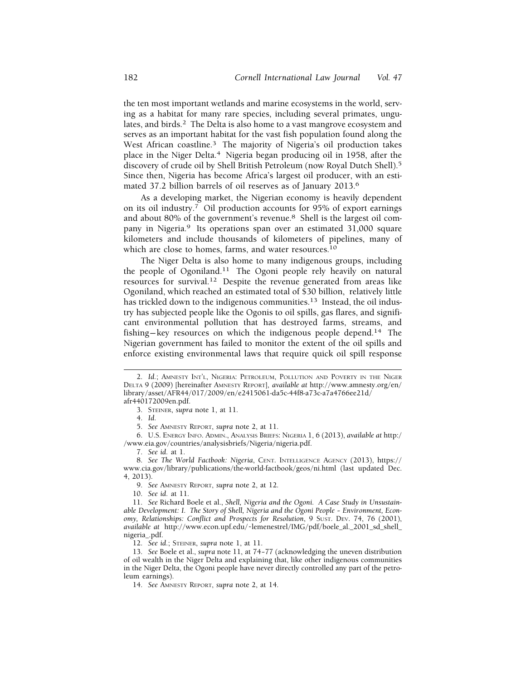the ten most important wetlands and marine ecosystems in the world, serving as a habitat for many rare species, including several primates, ungulates, and birds.<sup>2</sup> The Delta is also home to a vast mangrove ecosystem and serves as an important habitat for the vast fish population found along the West African coastline.<sup>3</sup> The majority of Nigeria's oil production takes place in the Niger Delta.4 Nigeria began producing oil in 1958, after the discovery of crude oil by Shell British Petroleum (now Royal Dutch Shell).<sup>5</sup> Since then, Nigeria has become Africa's largest oil producer, with an estimated 37.2 billion barrels of oil reserves as of January 2013.6

As a developing market, the Nigerian economy is heavily dependent on its oil industry.<sup>7</sup> Oil production accounts for 95% of export earnings and about 80% of the government's revenue.8 Shell is the largest oil company in Nigeria.<sup>9</sup> Its operations span over an estimated 31,000 square kilometers and include thousands of kilometers of pipelines, many of which are close to homes, farms, and water resources.<sup>10</sup>

The Niger Delta is also home to many indigenous groups, including the people of [Ogoniland.11](https://Ogoniland.11) The Ogoni people rely heavily on natural resources for [survival.12](https://survival.12) Despite the revenue generated from areas like Ogoniland, which reached an estimated total of \$30 billion, relatively little has trickled down to the indigenous communities.<sup>13</sup> Instead, the oil industry has subjected people like the Ogonis to oil spills, gas flares, and significant environmental pollution that has destroyed farms, streams, and fishing— key resources on which the indigenous people [depend.14](https://depend.14) The Nigerian government has failed to monitor the extent of the oil spills and enforce existing environmental laws that require quick oil spill response

5. *See* AMNESTY REPORT, *supra* note 2, at 11.

6. U.S. ENERGY INFO. ADMIN., ANALYSIS BRIEFS: NIGERIA 1, 6 (2013), *available at* http:/ /<www.eia.gov/countries/analysisbriefs/Nigeria/nigeria.pdf>.

7. *See id.* at 1.

8. *See The World Factbook: Nigeria*, CENT. INTELLIGENCE AGENCY (2013), https:// <www.cia.gov/library/publications/the-world-factbook/geos/ni.html>(last updated Dec. 4, 2013).

9. *See* AMNESTY REPORT, *supra* note 2, at 12.

10. *See id.* at 11.

11. *See* Richard Boele et al., *Shell, Nigeria and the Ogoni. A Case Study in Unsustainable Development: I. The Story of Shell, Nigeria and the Ogoni People – Environment, Economy, Relationships: Conflict and Prospects for Resolution*, 9 SUST. DEV. 74, 76 (2001), *available at* [http://www.econ.upf.edu/~lemenestrel/IMG/pdf/boele\\_al.\\_2001\\_sd\\_shell](http://www.econ.upf.edu/~lemenestrel/IMG/pdf/boele_al._2001_sd_shell)\_ nigeria\_.pdf.

12. *See id.*; STEINER, *supra* note 1, at 11.

13. *See* Boele et al., *supra* note 11, at 74– 77 (acknowledging the uneven distribution of oil wealth in the Niger Delta and explaining that, like other indigenous communities in the Niger Delta, the Ogoni people have never directly controlled any part of the petroleum earnings).

14. *See* AMNESTY REPORT, *supra* note 2, at 14.

<sup>2.</sup> *Id.*; AMNESTY INT'L, NIGERIA: PETROLEUM, POLLUTION AND POVERTY IN THE NIGER DELTA 9 (2009) [hereinafter AMNESTY REPORT], *available at* <http://www.amnesty.org/en>/ library/asset/AFR44/017/2009/en/e2415061-da5c-44f8-a73c-a7a4766ee21d/ afr440172009en.pdf.

<sup>3.</sup> STEINER, *supra* note 1, at 11.

<sup>4.</sup> *Id*.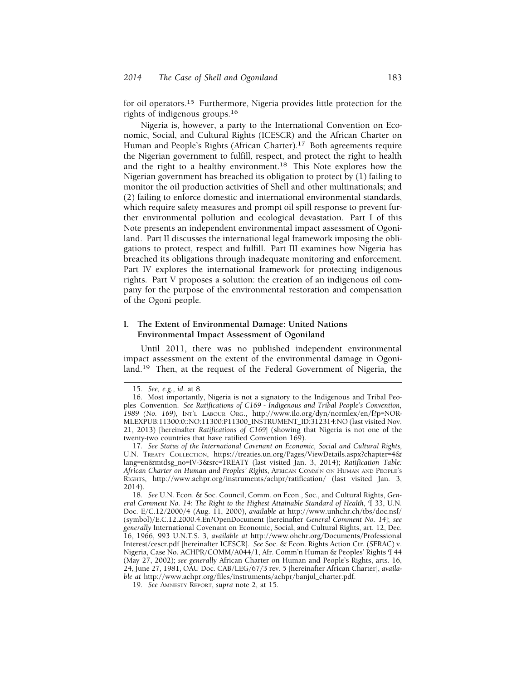for oil operators.<sup>15</sup> Furthermore, Nigeria provides little protection for the rights of indigenous [groups.16](https://groups.16)

Nigeria is, however, a party to the International Convention on Economic, Social, and Cultural Rights (ICESCR) and the African Charter on Human and People's Rights (African Charter).<sup>17</sup> Both agreements require the Nigerian government to fulfill, respect, and protect the right to health and the right to a healthy [environment.18](https://environment.18) This Note explores how the Nigerian government has breached its obligation to protect by (1) failing to monitor the oil production activities of Shell and other multinationals; and (2) failing to enforce domestic and international environmental standards, which require safety measures and prompt oil spill response to prevent further environmental pollution and ecological devastation. Part I of this Note presents an independent environmental impact assessment of Ogoniland. Part II discusses the international legal framework imposing the obligations to protect, respect and fulfill. Part III examines how Nigeria has breached its obligations through inadequate monitoring and enforcement. Part IV explores the international framework for protecting indigenous rights. Part V proposes a solution: the creation of an indigenous oil company for the purpose of the environmental restoration and compensation of the Ogoni people.

# **I. The Extent of Environmental Damage: United Nations Environmental Impact Assessment of Ogoniland**

Until 2011, there was no published independent environmental impact assessment on the extent of the environmental damage in Ogoniland.19 Then, at the request of the Federal Government of Nigeria, the

17. *See Status of the International Covenant on Economic, Social and Cultural Rights*, U.N. TREATY COLLECTION, <https://treaties.un.org/Pages/ViewDetails.aspx?chapter=4>& lang=en&mtdsg\_no=IV-3&src=TREATY (last visited Jan. 3, 2014); *Ratification Table: African Charter on Human and Peoples' Rights*, AFRICAN COMM'N ON HUMAN AND PEOPLE'S RIGHTS, [http://www.achpr.org/instruments/achpr/ratification/](http://www.achpr.org/instruments/achpr/ratification) (last visited Jan. 3, 2014).

18. *See* U.N. Econ. & Soc. Council, Comm. on Econ., Soc., and Cultural Rights, *General Comment No. 14: The Right to the Highest Attainable Standard of Health*, ¶ 33, U.N. Doc. E/C.12/2000/4 (Aug. 11, 2000), *available at* <http://www.unhchr.ch/tbs/doc.nsf>/ (symbol)/E.C.12.2000.4.En?OpenDocument [hereinafter *General Comment No. 14*]; *see generally* International Covenant on Economic, Social, and Cultural Rights, art. 12, Dec. 16, 1966, 993 U.N.T.S. 3, *available at* <http://www.ohchr.org/Documents/Professional> Interest/cescr.pdf [hereinafter ICESCR]. *See* Soc. & Econ. Rights Action Ctr. (SERAC) v. Nigeria, Case No. ACHPR/COMM/A044/1, Afr. Comm'n Human & Peoples' Rights ¶ 44 (May 27, 2002); *see generally* African Charter on Human and People's Rights, arts. 16, 24, June 27, 1981, OAU Doc. CAB/LEG/67/3 rev. 5 [hereinafter African Charter], *available at* [http://www.achpr.org/files/instruments/achpr/banjul\\_charter.pdf](http://www.achpr.org/files/instruments/achpr/banjul_charter.pdf).

19. *See* AMNESTY REPORT, *supra* note 2, at 15.

<sup>15.</sup> *See, e.g.*, *id*. at 8.

<sup>16.</sup> Most importantly, Nigeria is not a signatory to the Indigenous and Tribal Peoples Convention. *See Ratifications of C169 - Indigenous and Tribal People's Convention, 1989 (No. 169)*, INT'L LABOUR ORG., [http://www.ilo.org/dyn/normlex/en/f?p=NOR-](http://www.ilo.org/dyn/normlex/en/f?p=NOR)MLEXPUB:11300:0::NO:11300:P11300\_INSTRUMENT\_ID:312314:NO (last visited Nov. 21, 2013) [hereinafter *Ratifications of C169*] (showing that Nigeria is not one of the twenty-two countries that have ratified Convention 169).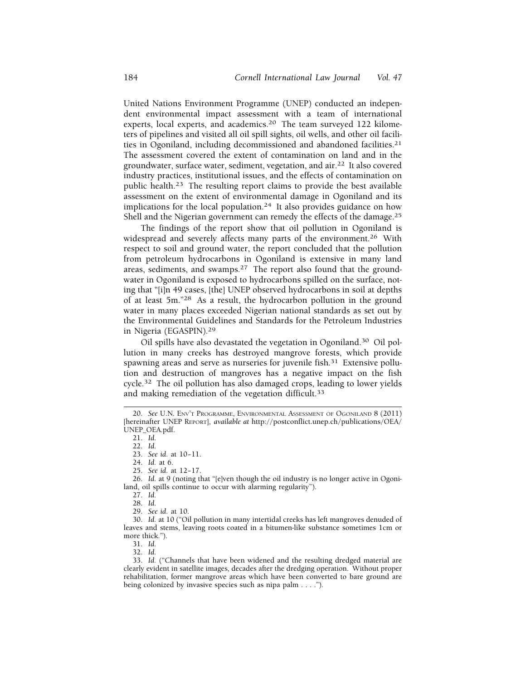United Nations Environment Programme (UNEP) conducted an independent environmental impact assessment with a team of international experts, local experts, and [academics.](https://academics.20)<sup>20</sup> The team surveyed 122 kilometers of pipelines and visited all oil spill sights, oil wells, and other oil facilities in Ogoniland, including decommissioned and abandoned [facilities.21](https://facilities.21)  The assessment covered the extent of contamination on land and in the groundwater, surface water, sediment, vegetation, and air.22 It also covered industry practices, institutional issues, and the effects of contamination on public [health.](https://health.23)23 The resulting report claims to provide the best available assessment on the extent of environmental damage in Ogoniland and its implications for the local [population.](https://population.24)<sup>24</sup> It also provides guidance on how Shell and the Nigerian government can remedy the effects of the [damage.25](https://damage.25) 

The findings of the report show that oil pollution in Ogoniland is widespread and severely affects many parts of the environment.<sup>26</sup> With respect to soil and ground water, the report concluded that the pollution from petroleum hydrocarbons in Ogoniland is extensive in many land areas, sediments, and [swamps.27](https://swamps.27) The report also found that the groundwater in Ogoniland is exposed to hydrocarbons spilled on the surface, noting that "[i]n 49 cases, [the] UNEP observed hydrocarbons in soil at depths of at least 5m."28 As a result, the hydrocarbon pollution in the ground water in many places exceeded Nigerian national standards as set out by the Environmental Guidelines and Standards for the Petroleum Industries in Nigeria ([EGASPIN\).](https://EGASPIN).29)<sup>29</sup>

Oil spills have also devastated the vegetation in [Ogoniland.30](https://Ogoniland.30) Oil pollution in many creeks has destroyed mangrove forests, which provide spawning areas and serve as nurseries for juvenile fish.<sup>31</sup> Extensive pollution and destruction of mangroves has a negative impact on the fish [cycle.32](https://cycle.32) The oil pollution has also damaged crops, leading to lower yields and making remediation of the vegetation difficult.<sup>33</sup>

27. *Id.* 

29. *See id.* at 10.

30. *Id.* at 10 ("Oil pollution in many intertidal creeks has left mangroves denuded of leaves and stems, leaving roots coated in a bitumen-like substance sometimes 1cm or more thick.").

31. *Id.* 

32. *Id.* 

33. *Id.* ("Channels that have been widened and the resulting dredged material are clearly evident in satellite images, decades after the dredging operation. Without proper rehabilitation, former mangrove areas which have been converted to bare ground are being colonized by invasive species such as nipa palm . . . .").

<sup>20.</sup> *See* U.N. ENV'T PROGRAMME, ENVIRONMENTAL ASSESSMENT OF OGONILAND 8 (2011) [hereinafter UNEP REPORT], *available at* <http://postconflict.unep.ch/publications/OEA>/ UNEP\_OEA.pdf.

<sup>21.</sup> *Id.* 

<sup>22.</sup> *Id.* 

<sup>23.</sup> *See id.* at 10-11.

<sup>24.</sup> *Id.* at 6.

<sup>25.</sup> *See id.* at 12-17.

<sup>26.</sup> *Id.* at 9 (noting that "[e]ven though the oil industry is no longer active in Ogoniland, oil spills continue to occur with alarming regularity").

<sup>28.</sup> *Id.*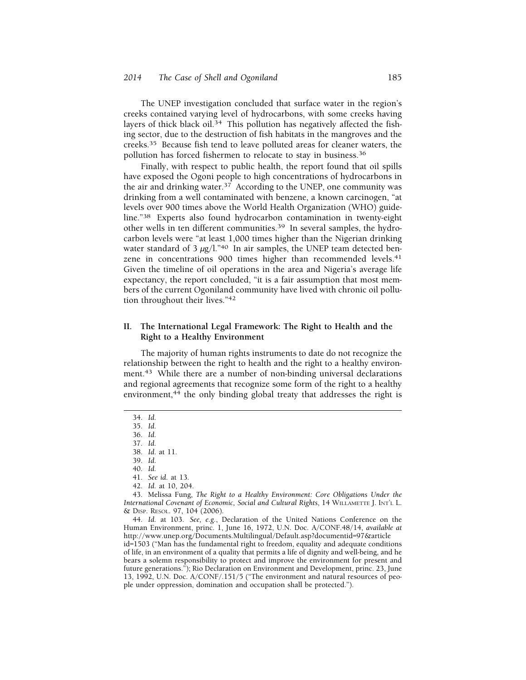The UNEP investigation concluded that surface water in the region's creeks contained varying level of hydrocarbons, with some creeks having layers of thick black oil.<sup>34</sup> This pollution has negatively affected the fishing sector, due to the destruction of fish habitats in the mangroves and the [creeks.35](https://creeks.35) Because fish tend to leave polluted areas for cleaner waters, the pollution has forced fishermen to relocate to stay in business.<sup>36</sup>

Finally, with respect to public health, the report found that oil spills have exposed the Ogoni people to high concentrations of hydrocarbons in the air and drinking water.<sup>37</sup> According to the UNEP, one community was drinking from a well contaminated with benzene, a known carcinogen, "at levels over 900 times above the World Health Organization (WHO) guideline."38 Experts also found hydrocarbon contamination in twenty-eight other wells in ten different communities.<sup>39</sup> In several samples, the hydrocarbon levels were "at least 1,000 times higher than the Nigerian drinking water standard of 3  $\mu$ g/l."<sup>40</sup> In air samples, the UNEP team detected benzene in concentrations 900 times higher than recommended levels.<sup>41</sup> Given the timeline of oil operations in the area and Nigeria's average life expectancy, the report concluded, "it is a fair assumption that most members of the current Ogoniland community have lived with chronic oil pollution throughout their lives."42

# **II. The International Legal Framework: The Right to Health and the Right to a Healthy Environment**

The majority of human rights instruments to date do not recognize the relationship between the right to health and the right to a healthy environment.<sup>43</sup> While there are a number of non-binding universal declarations and regional agreements that recognize some form of the right to a healthy environment, $44$  the only binding global treaty that addresses the right is

34. *Id.* 

35. *Id*.

36. *Id.* 

37. *Id.* 

38. *Id*. at 11.

39. *Id*.

40. *Id.* 

- 41. *See id.* at 13.
- 42. *Id.* at 10, 204.

43. Melissa Fung, *The Right to a Healthy Environment: Core Obligations Under the International Covenant of Economic, Social and Cultural Rights*, 14 WILLAMETTE J. INT'L L. & DISP. RESOL. 97, 104 (2006).

44. *Id.* at 103. *See, e.g.*, Declaration of the United Nations Conference on the Human Environment, princ. 1, June 16, 1972, U.N. Doc. A/CONF.48/14, *available at*  <http://www.unep.org/Documents.Multilingual/Default.asp?documentid=97&article> id=1503 ("Man has the fundamental right to freedom, equality and adequate conditions of life, in an environment of a quality that permits a life of dignity and well-being, and he bears a solemn responsibility to protect and improve the environment for present and future generations."); Rio Declaration on Environment and Development, princ. 23, June 13, 1992, U.N. Doc. A/CONF/.151/5 ("The environment and natural resources of people under oppression, domination and occupation shall be protected.").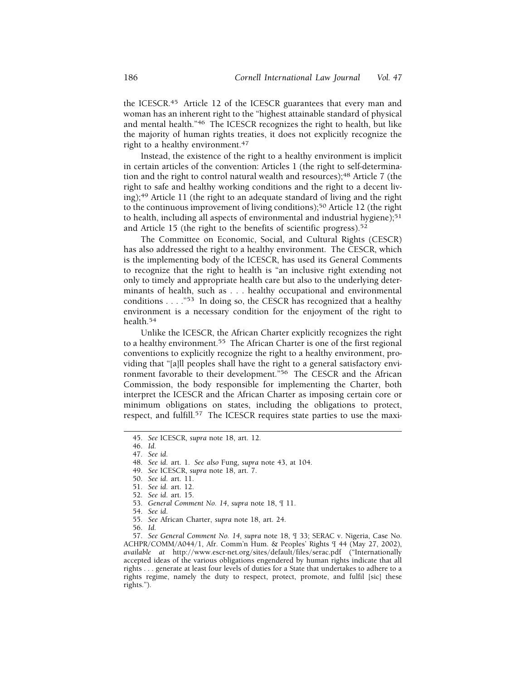the [ICESCR.](https://ICESCR.45)<sup>45</sup> Article 12 of the ICESCR guarantees that every man and woman has an inherent right to the "highest attainable standard of physical and mental health."46 The ICESCR recognizes the right to health, but like the majority of human rights treaties, it does not explicitly recognize the right to a healthy environment.<sup>47</sup>

Instead, the existence of the right to a healthy environment is implicit in certain articles of the convention: Articles 1 (the right to self-determination and the right to control natural wealth and resources);<sup>48</sup> Article 7 (the right to safe and healthy working conditions and the right to a decent living);49 Article 11 (the right to an adequate standard of living and the right to the continuous improvement of living conditions);<sup>50</sup> Article 12 (the right to health, including all aspects of environmental and industrial hygiene);<sup>51</sup> and Article 15 (the right to the benefits of scientific progress).<sup>52</sup>

The Committee on Economic, Social, and Cultural Rights (CESCR) has also addressed the right to a healthy environment. The CESCR, which is the implementing body of the ICESCR, has used its General Comments to recognize that the right to health is "an inclusive right extending not only to timely and appropriate health care but also to the underlying determinants of health, such as . . . healthy occupational and environmental conditions  $\ldots$ ."<sup>53</sup> In doing so, the CESCR has recognized that a healthy environment is a necessary condition for the enjoyment of the right to [health.](https://health.54)<sup>54</sup>

Unlike the ICESCR, the African Charter explicitly recognizes the right to a healthy environment.<sup>55</sup> The African Charter is one of the first regional conventions to explicitly recognize the right to a healthy environment, providing that "[a]ll peoples shall have the right to a general satisfactory environment favorable to their development."<sup>56</sup> The CESCR and the African Commission, the body responsible for implementing the Charter, both interpret the ICESCR and the African Charter as imposing certain core or minimum obligations on states, including the obligations to protect, respect, and fulfill.<sup>57</sup> The ICESCR requires state parties to use the maxi-

- 54. *See id.*
- 55. *See* African Charter, *supra* note 18, art. 24.
- 56. *Id.*

57. *See General Comment No. 14*, *supra* note 18, ¶ 33; SERAC v. Nigeria, Case No. ACHPR/COMM/A044/1, Afr. Comm'n Hum. & Peoples' Rights ¶ 44 (May 27, 2002), *available at* <http://www.escr-net.org/sites/default/files/serac.pdf> ("Internationally accepted ideas of the various obligations engendered by human rights indicate that all rights . . . generate at least four levels of duties for a State that undertakes to adhere to a rights regime, namely the duty to respect, protect, promote, and fulfil [sic] these rights.").

<sup>45.</sup> *See* ICESCR, *supra* note 18, art. 12.

<sup>46.</sup> *Id.* 

<sup>47.</sup> *See id.* 

<sup>48.</sup> *See id.* art. 1. *See also* Fung, *supra* note 43, at 104.

<sup>49.</sup> *See* ICESCR, *supra* note 18, art. 7.

<sup>50.</sup> *See id.* art. 11.

<sup>51.</sup> *See id.* art. 12.

<sup>52.</sup> *See id.* art. 15.

<sup>53.</sup> *General Comment No. 14*, *supra* note 18, ¶ 11.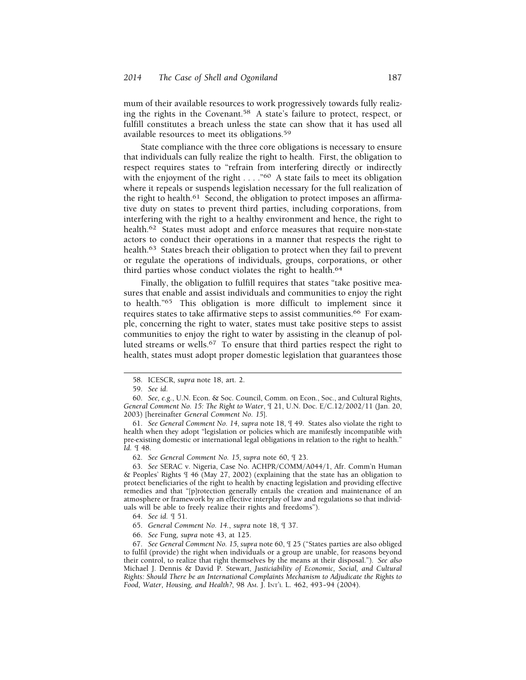mum of their available resources to work progressively towards fully realizing the rights in the [Covenant.58](https://Covenant.58) A state's failure to protect, respect, or fulfill constitutes a breach unless the state can show that it has used all available resources to meet its [obligations.59](https://obligations.59) 

State compliance with the three core obligations is necessary to ensure that individuals can fully realize the right to health. First, the obligation to respect requires states to "refrain from interfering directly or indirectly with the enjoyment of the right . . . . "<sup>60</sup> A state fails to meet its obligation where it repeals or suspends legislation necessary for the full realization of the right to health.<sup>61</sup> Second, the obligation to protect imposes an affirmative duty on states to prevent third parties, including corporations, from interfering with the right to a healthy environment and hence, the right to [health.](https://health.62)<sup>62</sup> States must adopt and enforce measures that require non-state actors to conduct their operations in a manner that respects the right to [health.](https://health.63)<sup>63</sup> States breach their obligation to protect when they fail to prevent or regulate the operations of individuals, groups, corporations, or other third parties whose conduct violates the right to health.<sup>64</sup>

Finally, the obligation to fulfill requires that states "take positive measures that enable and assist individuals and communities to enjoy the right to health."65 This obligation is more difficult to implement since it requires states to take affirmative steps to assist communities.<sup>66</sup> For example, concerning the right to water, states must take positive steps to assist communities to enjoy the right to water by assisting in the cleanup of polluted streams or wells.<sup>67</sup> To ensure that third parties respect the right to health, states must adopt proper domestic legislation that guarantees those

61. *See General Comment No. 14*, *supra* note 18, ¶ 49. States also violate the right to health when they adopt "legislation or policies which are manifestly incompatible with pre-existing domestic or international legal obligations in relation to the right to health." *Id.* ¶ 48.

62. *See General Comment No. 15*, *supra* note 60, ¶ 23.

63. *See* SERAC v. Nigeria, Case No. ACHPR/COMM/A044/1, Afr. Comm'n Human & Peoples' Rights ¶ 46 (May 27, 2002) (explaining that the state has an obligation to protect beneficiaries of the right to health by enacting legislation and providing effective remedies and that "[p]rotection generally entails the creation and maintenance of an atmosphere or framework by an effective interplay of law and regulations so that individuals will be able to freely realize their rights and freedoms").

64. *See id.* ¶ 51.

65. *General Comment No. 14.*, *supra* note 18, ¶ 37.

66. *See* Fung, *supra* note 43, at 125.

67. *See General Comment No. 15*, *supra* note 60, ¶ 25 ("States parties are also obliged to fulfil (provide) the right when individuals or a group are unable, for reasons beyond their control, to realize that right themselves by the means at their disposal."). *See also*  Michael J. Dennis & David P. Stewart, *Justiciability of Economic, Social, and Cultural Rights: Should There be an International Complaints Mechanism to Adjudicate the Rights to Food, Water, Housing, and Health?, 98 Am. J. INT'L L. 462, 493-94 (2004).* 

<sup>58.</sup> ICESCR, *supra* note 18, art. 2.

<sup>59.</sup> *See id.* 

<sup>60.</sup> *See, e.g.*, U.N. Econ. & Soc. Council, Comm. on Econ., Soc., and Cultural Rights, *General Comment No. 15: The Right to Water*, ¶ 21, U.N. Doc. E/C.12/2002/11 (Jan. 20, 2003) [hereinafter *General Comment No. 15*].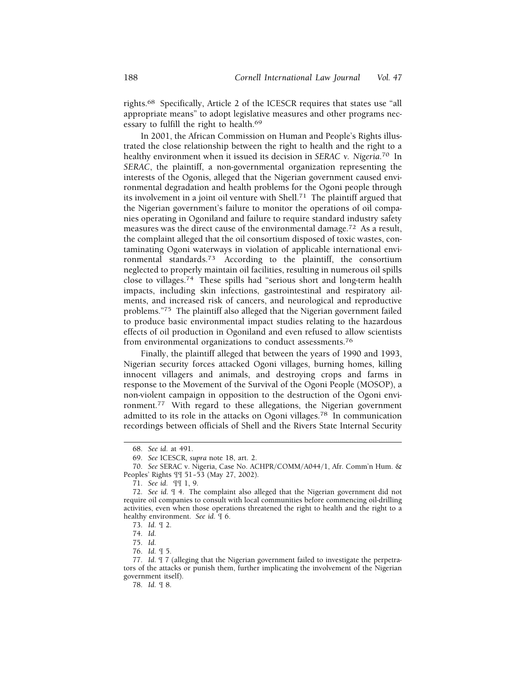[rights.](https://rights.68)68 Specifically, Article 2 of the ICESCR requires that states use "all appropriate means" to adopt legislative measures and other programs necessary to fulfill the right to [health.69](https://health.69)

In 2001, the African Commission on Human and People's Rights illustrated the close relationship between the right to health and the right to a healthy environment when it issued its decision in *SERAC v. [Nigeria](https://Nigeria.70)*. 70 In *SERAC*, the plaintiff, a non-governmental organization representing the interests of the Ogonis, alleged that the Nigerian government caused environmental degradation and health problems for the Ogoni people through its involvement in a joint oil venture with [Shell.](https://Shell.71)71 The plaintiff argued that the Nigerian government's failure to monitor the operations of oil companies operating in Ogoniland and failure to require standard industry safety measures was the direct cause of the environmental [damage.72](https://damage.72) As a result, the complaint alleged that the oil consortium disposed of toxic wastes, contaminating Ogoni waterways in violation of applicable international environmental [standards.](https://standards.73)73 According to the plaintiff, the consortium neglected to properly maintain oil facilities, resulting in numerous oil spills close to [villages.](https://villages.74)74 These spills had "serious short and long-term health impacts, including skin infections, gastrointestinal and respiratory ailments, and increased risk of cancers, and neurological and reproductive problems."75 The plaintiff also alleged that the Nigerian government failed to produce basic environmental impact studies relating to the hazardous effects of oil production in Ogoniland and even refused to allow scientists from environmental organizations to conduct [assessments.76](https://assessments.76) 

Finally, the plaintiff alleged that between the years of 1990 and 1993, Nigerian security forces attacked Ogoni villages, burning homes, killing innocent villagers and animals, and destroying crops and farms in response to the Movement of the Survival of the Ogoni People (MOSOP), a non-violent campaign in opposition to the destruction of the Ogoni envi[ronment.77](https://ronment.77) With regard to these allegations, the Nigerian government admitted to its role in the attacks on Ogoni [villages.78](https://villages.78) In communication recordings between officials of Shell and the Rivers State Internal Security

71. *See id.* ¶¶ 1, 9.

- 75. *Id.*
- 76. *Id.* ¶ 5.

78. *Id.* ¶ 8.

<sup>68.</sup> *See id.* at 491.

<sup>69.</sup> *See* ICESCR, *supra* note 18, art. 2.

<sup>70.</sup> *See* SERAC v. Nigeria, Case No. ACHPR/COMM/A044/1, Afr. Comm'n Hum. & Peoples' Rights [[ 51-53 (May 27, 2002).

<sup>72.</sup> *See id*. ¶ 4. The complaint also alleged that the Nigerian government did not require oil companies to consult with local communities before commencing oil-drilling activities, even when those operations threatened the right to health and the right to a healthy environment. *See id*. ¶ 6.

<sup>73.</sup> *Id.* ¶ 2.

<sup>74.</sup> *Id.* 

<sup>77.</sup> *Id*. ¶ 7 (alleging that the Nigerian government failed to investigate the perpetrators of the attacks or punish them, further implicating the involvement of the Nigerian government itself).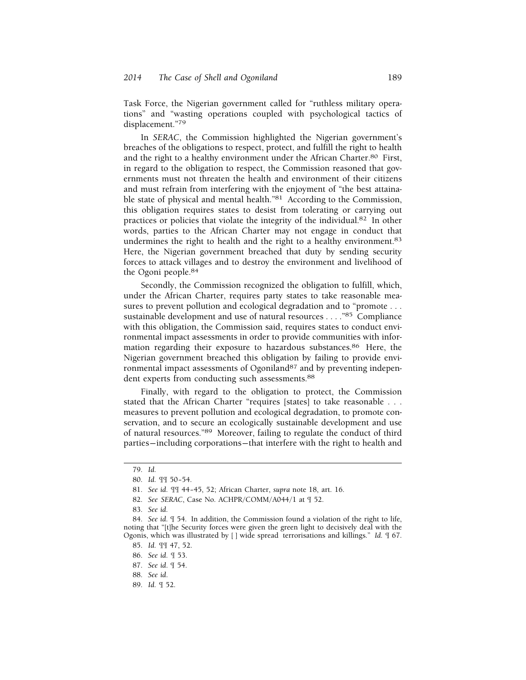Task Force, the Nigerian government called for "ruthless military operations" and "wasting operations coupled with psychological tactics of displacement."79

In *SERAC*, the Commission highlighted the Nigerian government's breaches of the obligations to respect, protect, and fulfill the right to health and the right to a healthy environment under the African [Charter.80](https://Charter.80) First, in regard to the obligation to respect, the Commission reasoned that governments must not threaten the health and environment of their citizens and must refrain from interfering with the enjoyment of "the best attainable state of physical and mental health."81 According to the Commission, this obligation requires states to desist from tolerating or carrying out practices or policies that violate the integrity of the [individual.82](https://individual.82) In other words, parties to the African Charter may not engage in conduct that undermines the right to health and the right to a healthy environment.<sup>83</sup> Here, the Nigerian government breached that duty by sending security forces to attack villages and to destroy the environment and livelihood of the Ogoni [people.84](https://people.84)

Secondly, the Commission recognized the obligation to fulfill, which, under the African Charter, requires party states to take reasonable measures to prevent pollution and ecological degradation and to "promote . . . sustainable development and use of natural resources . . . ."85 Compliance with this obligation, the Commission said, requires states to conduct environmental impact assessments in order to provide communities with information regarding their exposure to hazardous [substances.86](https://substances.86) Here, the Nigerian government breached this obligation by failing to provide environmental impact assessments of Ogoniland<sup>87</sup> and by preventing independent experts from conducting such assessments.<sup>88</sup>

Finally, with regard to the obligation to protect, the Commission stated that the African Charter "requires [states] to take reasonable . . . measures to prevent pollution and ecological degradation, to promote conservation, and to secure an ecologically sustainable development and use of natural resources."89 Moreover, failing to regulate the conduct of third parties— including corporations— that interfere with the right to health and

87. *See id*. ¶ 54.

89. *Id.* ¶ 52.

<sup>79.</sup> *Id.* 

<sup>80.</sup> *Id.* ¶¶ 50– 54.

<sup>81.</sup> *See id.* ¶¶ 44– 45, 52; African Charter, *supra* note 18, art. 16.

<sup>82.</sup> *See SERAC*, Case No. ACHPR/COMM/A044/1 at ¶ 52.

<sup>83.</sup> *See id.* 

<sup>84.</sup> *See id*. ¶ 54. In addition, the Commission found a violation of the right to life, noting that "[t]he Security forces were given the green light to decisively deal with the Ogonis, which was illustrated by [ ] wide spread terrorisations and killings." *Id.* ¶ 67.

<sup>85.</sup> *Id.* ¶¶ 47, 52.

<sup>86.</sup> *See id.* ¶ 53.

<sup>88.</sup> *See id*.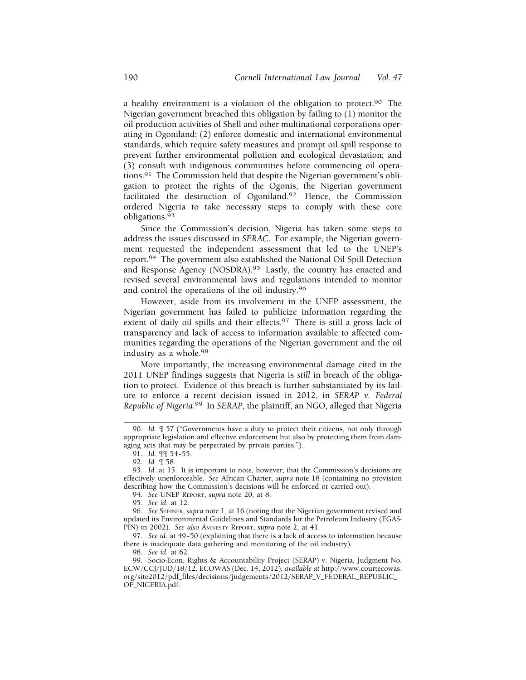a healthy environment is a violation of the obligation to [protect.90](https://protect.90) The Nigerian government breached this obligation by failing to (1) monitor the oil production activities of Shell and other multinational corporations operating in Ogoniland; (2) enforce domestic and international environmental standards, which require safety measures and prompt oil spill response to prevent further environmental pollution and ecological devastation; and (3) consult with indigenous communities before commencing oil opera[tions.](https://tions.91)91 The Commission held that despite the Nigerian government's obligation to protect the rights of the Ogonis, the Nigerian government facilitated the destruction of [Ogoniland.92](https://Ogoniland.92) Hence, the Commission ordered Nigeria to take necessary steps to comply with these core [obligations.](https://obligations.93)<sup>93</sup>

Since the Commission's decision, Nigeria has taken some steps to address the issues discussed in *SERAC*. For example, the Nigerian government requested the independent assessment that led to the UNEP's [report.](https://report.94)94 The government also established the National Oil Spill Detection and Response Agency ([NOSDRA\).95](https://NOSDRA).95) Lastly, the country has enacted and revised several environmental laws and regulations intended to monitor and control the operations of the oil [industry.96](https://industry.96) 

However, aside from its involvement in the UNEP assessment, the Nigerian government has failed to publicize information regarding the extent of daily oil spills and their effects.<sup>97</sup> There is still a gross lack of transparency and lack of access to information available to affected communities regarding the operations of the Nigerian government and the oil industry as a [whole.98](https://whole.98) 

More importantly, the increasing environmental damage cited in the 2011 UNEP findings suggests that Nigeria is *still* in breach of the obligation to protect. Evidence of this breach is further substantiated by its failure to enforce a recent decision issued in 2012, in *SERAP v. Federal Republic of [Nigeria](https://Nigeria.99)*. 99 In *SERAP*, the plaintiff, an NGO, alleged that Nigeria

94. *See* UNEP REPORT, *supra* note 20, at 8.

95. *See id.* at 12.

96. *See* STEINER, *supra* note 1, at 16 (noting that the Nigerian government revised and updated its Environmental Guidelines and Standards for the Petroleum Industry (EGAS-PIN) in 2002). *See also* AMNESTY REPORT, *supra* note 2, at 41.

97. *See id.* at 49-50 (explaining that there is a lack of access to information because there is inadequate data gathering and monitoring of the oil industry).

98. *See id.* at 62.

<sup>90.</sup> *Id.* ¶ 57 ("Governments have a duty to protect their citizens, not only through appropriate legislation and effective enforcement but also by protecting them from damaging acts that may be perpetrated by private parties.").

<sup>91.</sup> *Id.* ¶¶ 54– 55.

<sup>92.</sup> *Id.* ¶ 58.

<sup>93.</sup> *Id.* at 15. It is important to note, however, that the Commission's decisions are effectively unenforceable. *See* African Charter, *supra* note 18 (containing no provision describing how the Commission's decisions will be enforced or carried out).

<sup>99.</sup> Socio-Econ. Rights & Accountability Project (SERAP) v. Nigeria, Judgment No. ECW/CCJ/JUD/18/12, ECOWAS (Dec. 14, 2012), *available at* [http://www.courtecowas.](http://www.courtecowas) org/site2012/pdf\_files/decisions/judgements/2012/SERAP\_V\_FEDERAL\_REPUBLIC\_ OF\_NIGERIA.pdf.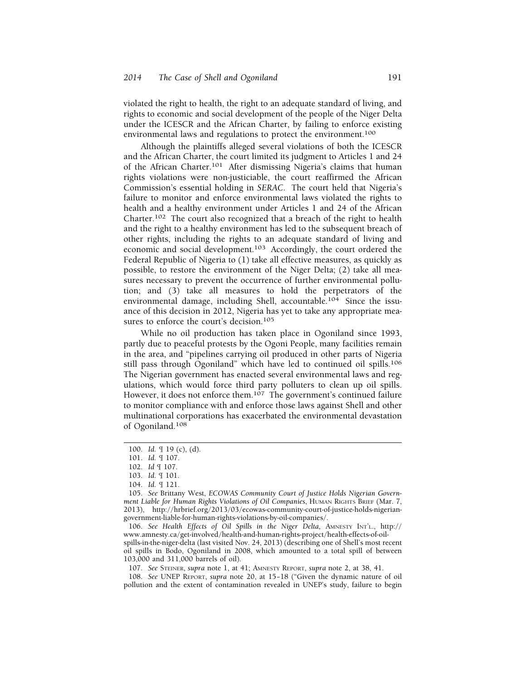violated the right to health, the right to an adequate standard of living, and rights to economic and social development of the people of the Niger Delta under the ICESCR and the African Charter, by failing to enforce existing environmental laws and regulations to protect the environment.100

Although the plaintiffs alleged several violations of both the ICESCR and the African Charter, the court limited its judgment to Articles 1 and 24 of the African Charter.101 After dismissing Nigeria's claims that human rights violations were non-justiciable, the court reaffirmed the African Commission's essential holding in *SERAC.* The court held that Nigeria's failure to monitor and enforce environmental laws violated the rights to health and a healthy environment under Articles 1 and 24 of the African Charter.102 The court also recognized that a breach of the right to health and the right to a healthy environment has led to the subsequent breach of other rights, including the rights to an adequate standard of living and economic and social development.103 Accordingly, the court ordered the Federal Republic of Nigeria to (1) take all effective measures, as quickly as possible, to restore the environment of the Niger Delta; (2) take all measures necessary to prevent the occurrence of further environmental pollution; and (3) take all measures to hold the perpetrators of the environmental damage, including Shell, accountable.104 Since the issuance of this decision in 2012, Nigeria has yet to take any appropriate measures to enforce the court's decision.<sup>105</sup>

While no oil production has taken place in Ogoniland since 1993, partly due to peaceful protests by the Ogoni People, many facilities remain in the area, and "pipelines carrying oil produced in other parts of Nigeria still pass through Ogoniland" which have led to continued oil spills.106 The Nigerian government has enacted several environmental laws and regulations, which would force third party polluters to clean up oil spills. However, it does not enforce them.<sup>107</sup> The government's continued failure to monitor compliance with and enforce those laws against Shell and other multinational corporations has exacerbated the environmental devastation of Ogoniland.108

106. *See Health Effects of Oil Spills in the Niger Delta,* AMNESTY INT'L., http:// <www.amnesty.ca/get-involved/health-and-human-rights-project/health-effects-of-oil>spills-in-the-niger-delta (last visited Nov. 24, 2013) (describing one of Shell's most recent oil spills in Bodo, Ogoniland in 2008, which amounted to a total spill of between 103,000 and 311,000 barrels of oil).

107. *See* STEINER, *supra* note 1, at 41; AMNESTY REPORT, *supra* note 2, at 38, 41.

108. *See* UNEP REPORT, *supra* note 20, at 15– 18 ("Given the dynamic nature of oil pollution and the extent of contamination revealed in UNEP's study, failure to begin

<sup>100.</sup> *Id.* ¶ 19 (c), (d).

<sup>101.</sup> *Id.* ¶ 107.

<sup>102.</sup> *Id* ¶ 107.

<sup>103.</sup> *Id*. ¶ 101.

<sup>104.</sup> *Id.* ¶ 121.

<sup>105.</sup> *See* Brittany West, *ECOWAS Community Court of Justice Holds Nigerian Government Liable for Human Rights Violations of Oil Companies*, HUMAN RIGHTS BRIEF (Mar. 7, 2013), <http://hrbrief.org/2013/03/ecowas-community-court-of-justice-holds-nigerian>government-liable-for-human-rights-violations-by-oil-companies/.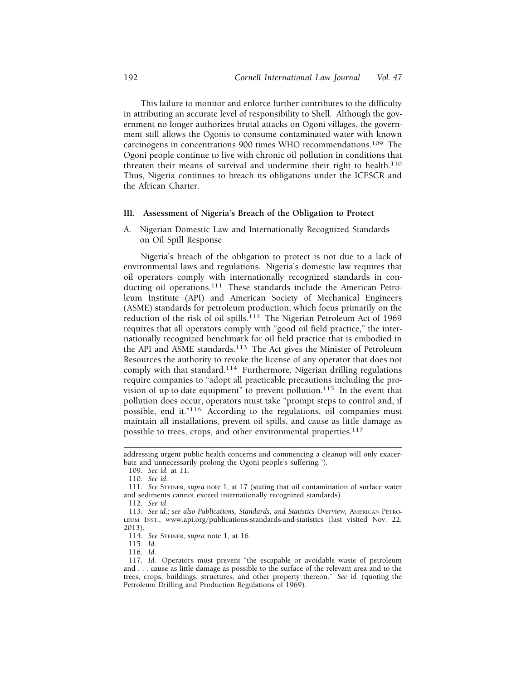This failure to monitor and enforce further contributes to the difficulty in attributing an accurate level of responsibility to Shell. Although the government no longer authorizes brutal attacks on Ogoni villages, the government still allows the Ogonis to consume contaminated water with known carcinogens in concentrations 900 times WHO recommendations.109 The Ogoni people continue to live with chronic oil pollution in conditions that threaten their means of survival and undermine their right to health.<sup>110</sup> Thus, Nigeria continues to breach its obligations under the ICESCR and the African Charter.

#### **III. Assessment of Nigeria's Breach of the Obligation to Protect**

A. Nigerian Domestic Law and Internationally Recognized Standards on Oil Spill Response

Nigeria's breach of the obligation to protect is not due to a lack of environmental laws and regulations. Nigeria's domestic law requires that oil operators comply with internationally recognized standards in conducting oil operations.<sup>111</sup> These standards include the American Petroleum Institute (API) and American Society of Mechanical Engineers (ASME) standards for petroleum production, which focus primarily on the reduction of the risk of oil spills.112 The Nigerian Petroleum Act of 1969 requires that all operators comply with "good oil field practice," the internationally recognized benchmark for oil field practice that is embodied in the API and ASME standards.<sup>113</sup> The Act gives the Minister of Petroleum Resources the authority to revoke the license of any operator that does not comply with that standard.114 Furthermore, Nigerian drilling regulations require companies to "adopt all practicable precautions including the provision of up-to-date equipment" to prevent pollution.<sup>115</sup> In the event that pollution does occur, operators must take "prompt steps to control and, if possible, end it."116 According to the regulations, oil companies must maintain all installations, prevent oil spills, and cause as little damage as possible to trees, crops, and other environmental properties.<sup>117</sup>

addressing urgent public health concerns and commencing a cleanup will only exacerbate and unnecessarily prolong the Ogoni people's suffering.").

<sup>109.</sup> *See id.* at 11.

<sup>110.</sup> *See id.* 

<sup>111.</sup> *See* STEINER, *supra* note 1, at 17 (stating that oil contamination of surface water and sediments cannot exceed internationally recognized standards).

<sup>112.</sup> *See id.* 

<sup>113.</sup> *See id.*; *see also Publications, Standards, and Statistics Overview,* AMERICAN PETRO-LEUM INST., <www.api.org/publications-standards-and-statistics>(last visited Nov. 22, 2013).

<sup>114.</sup> *See* STEINER, *supra* note 1, at 16.

<sup>115.</sup> *Id.* 

<sup>116.</sup> *Id.* 

<sup>117.</sup> *Id.* Operators must prevent "the escapable or avoidable waste of petroleum and . . . cause as little damage as possible to the surface of the relevant area and to the trees, crops, buildings, structures, and other property thereon." *See id.* (quoting the Petroleum Drilling and Production Regulations of 1969).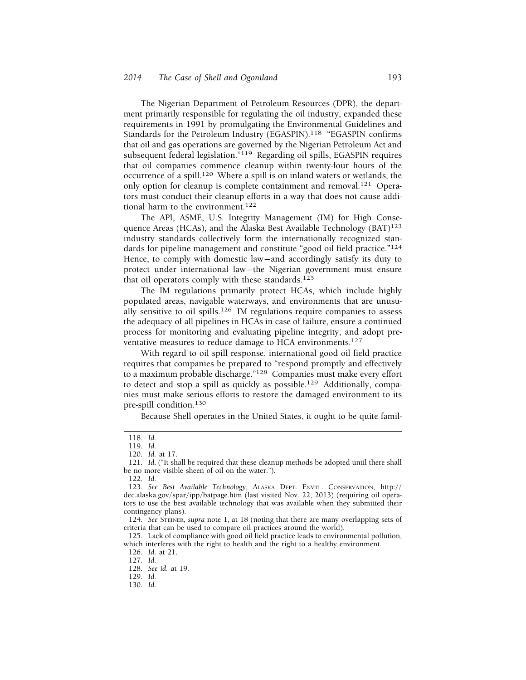The Nigerian Department of Petroleum Resources (DPR), the department primarily responsible for regulating the oil industry, expanded these requirements in 1991 by promulgating the Environmental Guidelines and Standards for the Petroleum Industry (EGASPIN).<sup>118</sup> "EGASPIN confirms that oil and gas operations are governed by the Nigerian Petroleum Act and subsequent federal legislation."119 Regarding oil spills, EGASPIN requires that oil companies commence cleanup within twenty-four hours of the occurrence of a spill.120 Where a spill is on inland waters or wetlands, the only option for cleanup is complete containment and removal.121 Operators must conduct their cleanup efforts in a way that does not cause additional harm to the environment.<sup>122</sup>

The API, ASME, U.S. Integrity Management (IM) for High Consequence Areas (HCAs), and the Alaska Best Available Technology (BAT)<sup>123</sup> industry standards collectively form the internationally recognized standards for pipeline management and constitute "good oil field practice."<sup>124</sup> Hence, to comply with domestic law— and accordingly satisfy its duty to protect under international law— the Nigerian government must ensure that oil operators comply with these standards.<sup>125</sup>

The IM regulations primarily protect HCAs, which include highly populated areas, navigable waterways, and environments that are unusually sensitive to oil spills.<sup>126</sup> IM regulations require companies to assess the adequacy of all pipelines in HCAs in case of failure, ensure a continued process for monitoring and evaluating pipeline integrity, and adopt preventative measures to reduce damage to HCA environments.<sup>127</sup>

With regard to oil spill response, international good oil field practice requires that companies be prepared to "respond promptly and effectively to a maximum probable discharge."128 Companies must make every effort to detect and stop a spill as quickly as possible.<sup>129</sup> Additionally, companies must make serious efforts to restore the damaged environment to its pre-spill condition.130

Because Shell operates in the United States, it ought to be quite famil-

- 129. *Id.*
- 130. *Id.*

<sup>118.</sup> *Id.* 

<sup>119.</sup> *Id.* 

<sup>120.</sup> *Id.* at 17.

<sup>121.</sup> *Id*. ("It shall be required that these cleanup methods be adopted until there shall be no more visible sheen of oil on the water.").

<sup>122.</sup> *Id.* 

<sup>123.</sup> *See Best Available Technology*, ALASKA DEPT. ENVTL. CONSERVATION, http:// [dec.alaska.gov/spar/ipp/batpage.htm](https://dec.alaska.gov/spar/ipp/batpage.htm) (last visited Nov. 22, 2013) (requiring oil operators to use the best available technology that was available when they submitted their contingency plans).

<sup>124.</sup> *See* STEINER, *supra* note 1, at 18 (noting that there are many overlapping sets of criteria that can be used to compare oil practices around the world).

<sup>125.</sup> Lack of compliance with good oil field practice leads to environmental pollution, which interferes with the right to health and the right to a healthy environment.

<sup>126.</sup> *Id.* at 21.

<sup>127.</sup> *Id*.

<sup>128.</sup> *See id.* at 19.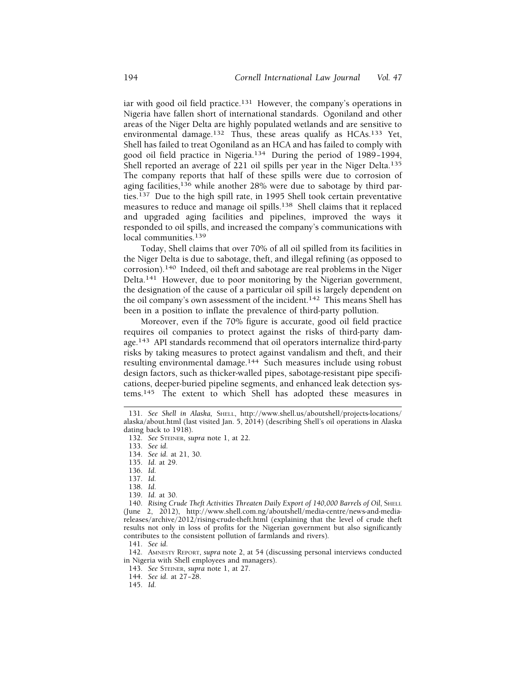iar with good oil field practice.<sup>131</sup> However, the company's operations in Nigeria have fallen short of international standards. Ogoniland and other areas of the Niger Delta are highly populated wetlands and are sensitive to environmental damage.<sup>132</sup> Thus, these areas qualify as HCAs.<sup>133</sup> Yet, Shell has failed to treat Ogoniland as an HCA and has failed to comply with good oil field practice in Nigeria.<sup>134</sup> During the period of 1989-1994, Shell reported an average of 221 oil spills per year in the Niger Delta.<sup>135</sup> The company reports that half of these spills were due to corrosion of aging facilities,  $136$  while another 28% were due to sabotage by third parties.137 Due to the high spill rate, in 1995 Shell took certain preventative measures to reduce and manage oil spills.138 Shell claims that it replaced and upgraded aging facilities and pipelines, improved the ways it responded to oil spills, and increased the company's communications with local communities.<sup>139</sup>

Today, Shell claims that over 70% of all oil spilled from its facilities in the Niger Delta is due to sabotage, theft, and illegal refining (as opposed to corrosion).140 Indeed, oil theft and sabotage are real problems in the Niger Delta.141 However, due to poor monitoring by the Nigerian government, the designation of the cause of a particular oil spill is largely dependent on the oil company's own assessment of the incident.<sup>142</sup> This means Shell has been in a position to inflate the prevalence of third-party pollution.

Moreover, even if the 70% figure is accurate, good oil field practice requires oil companies to protect against the risks of third-party damage.143 API standards recommend that oil operators internalize third-party risks by taking measures to protect against vandalism and theft, and their resulting environmental damage.144 Such measures include using robust design factors, such as thicker-walled pipes, sabotage-resistant pipe specifications, deeper-buried pipeline segments, and enhanced leak detection systems.145 The extent to which Shell has adopted these measures in

139. *Id.* at 30.

143. *See* STEINER, *supra* note 1, at 27.

<sup>131.</sup> *See Shell in Alaska,* SHELL, <http://www.shell.us/aboutshell/projects-locations>/ alaska/about.html (last visited Jan. 5, 2014) (describing Shell's oil operations in Alaska dating back to 1918).

<sup>132.</sup> *See* STEINER, *supra* note 1, at 22.

<sup>133.</sup> *See id.* 

<sup>134.</sup> *See id.* at 21, 30.

<sup>135.</sup> *Id.* at 29.

<sup>136.</sup> *Id.* 

<sup>137.</sup> *Id.* 

<sup>138.</sup> *Id*.

<sup>140.</sup> *Rising Crude Theft Activities Threaten Daily Export of 140,000 Barrels of Oil, SHELL* (June 2, 2012), <http://www.shell.com.ng/aboutshell/media-centre/news-and-media>releases/archive/2012/rising-crude-theft.html (explaining that the level of crude theft results not only in loss of profits for the Nigerian government but also significantly contributes to the consistent pollution of farmlands and rivers).

<sup>141.</sup> *See id.* 

<sup>142.</sup> AMNESTY REPORT, *supra* note 2, at 54 (discussing personal interviews conducted in Nigeria with Shell employees and managers).

<sup>144.</sup> *See id.* at 27-28.

<sup>145.</sup> *Id.*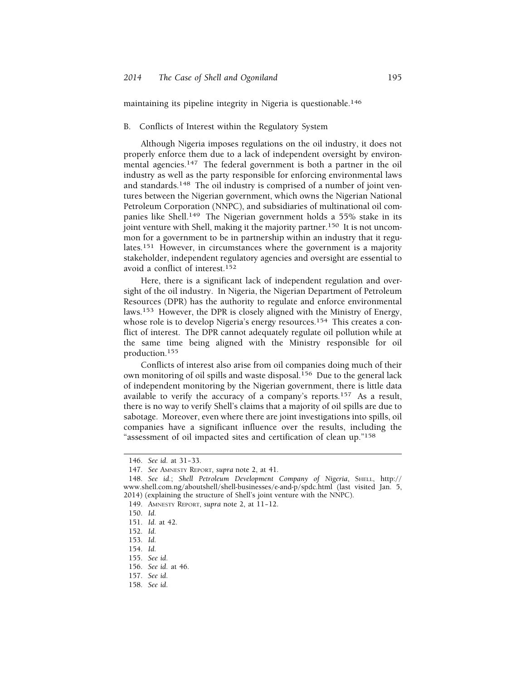maintaining its pipeline integrity in Nigeria is questionable.146

#### B. Conflicts of Interest within the Regulatory System

Although Nigeria imposes regulations on the oil industry, it does not properly enforce them due to a lack of independent oversight by environmental agencies.<sup>147</sup> The federal government is both a partner in the oil industry as well as the party responsible for enforcing environmental laws and standards.148 The oil industry is comprised of a number of joint ventures between the Nigerian government, which owns the Nigerian National Petroleum Corporation (NNPC), and subsidiaries of multinational oil companies like Shell.<sup>149</sup> The Nigerian government holds a 55% stake in its joint venture with Shell, making it the majority partner.<sup>150</sup> It is not uncommon for a government to be in partnership within an industry that it regulates.151 However, in circumstances where the government is a majority stakeholder, independent regulatory agencies and oversight are essential to avoid a conflict of interest.152

Here, there is a significant lack of independent regulation and oversight of the oil industry. In Nigeria, the Nigerian Department of Petroleum Resources (DPR) has the authority to regulate and enforce environmental laws.<sup>153</sup> However, the DPR is closely aligned with the Ministry of Energy, whose role is to develop Nigeria's energy resources.<sup>154</sup> This creates a conflict of interest. The DPR cannot adequately regulate oil pollution while at the same time being aligned with the Ministry responsible for oil production.155

Conflicts of interest also arise from oil companies doing much of their own monitoring of oil spills and waste disposal.156 Due to the general lack of independent monitoring by the Nigerian government, there is little data available to verify the accuracy of a company's reports.<sup>157</sup> As a result, there is no way to verify Shell's claims that a majority of oil spills are due to sabotage. Moreover, even where there are joint investigations into spills, oil companies have a significant influence over the results, including the "assessment of oil impacted sites and certification of clean up."158

- 152. *Id.*
- 153. *Id.*
- 154. *Id.*
- 155. *See id.*
- 156. *See id.* at 46.
- 157. *See id.*
- 158. *See id.*

<sup>146.</sup> *See id.* at 31-33.

<sup>147.</sup> *See* AMNESTY REPORT, *supra* note 2, at 41.

<sup>148.</sup> *See id.*; *Shell Petroleum Development Company of Nigeria*, SHELL, http:// <www.shell.com.ng/aboutshell/shell-businesses/e-and-p/spdc.html> (last visited Jan. 5, 2014) (explaining the structure of Shell's joint venture with the NNPC).

<sup>149.</sup> AMNESTY REPORT, *supra* note 2, at 11-12.

<sup>150.</sup> *Id.* 

<sup>151.</sup> *Id.* at 42.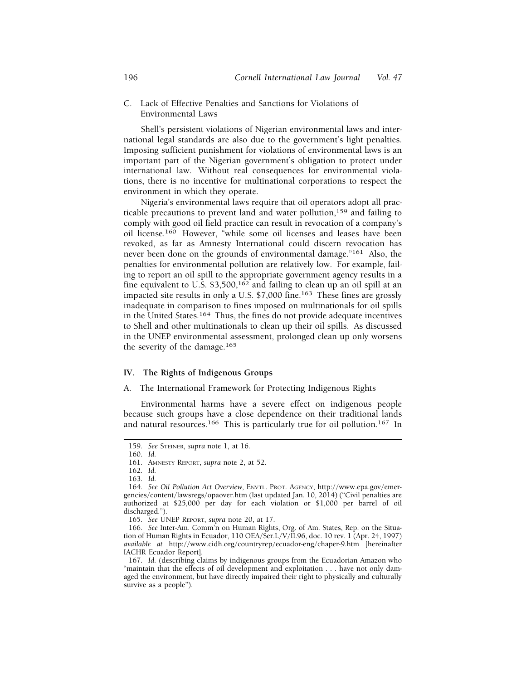C. Lack of Effective Penalties and Sanctions for Violations of Environmental Laws

Shell's persistent violations of Nigerian environmental laws and international legal standards are also due to the government's light penalties. Imposing sufficient punishment for violations of environmental laws is an important part of the Nigerian government's obligation to protect under international law. Without real consequences for environmental violations, there is no incentive for multinational corporations to respect the environment in which they operate.

Nigeria's environmental laws require that oil operators adopt all practicable precautions to prevent land and water pollution,159 and failing to comply with good oil field practice can result in revocation of a company's oil license.160 However, "while some oil licenses and leases have been revoked, as far as Amnesty International could discern revocation has never been done on the grounds of environmental damage."<sup>161</sup> Also, the penalties for environmental pollution are relatively low. For example, failing to report an oil spill to the appropriate government agency results in a fine equivalent to U.S.  $$3,500$ ,  $^{162}$  and failing to clean up an oil spill at an impacted site results in only a U.S. \$7,000 fine.163 These fines are grossly inadequate in comparison to fines imposed on multinationals for oil spills in the United States.164 Thus, the fines do not provide adequate incentives to Shell and other multinationals to clean up their oil spills. As discussed in the UNEP environmental assessment, prolonged clean up only worsens the severity of the damage.<sup>165</sup>

### **IV. The Rights of Indigenous Groups**

#### A. The International Framework for Protecting Indigenous Rights

Environmental harms have a severe effect on indigenous people because such groups have a close dependence on their traditional lands and natural resources.<sup>166</sup> This is particularly true for oil pollution.<sup>167</sup> In

<sup>159.</sup> *See* STEINER, *supra* note 1, at 16.

<sup>160.</sup> *Id.* 

<sup>161.</sup> AMNESTY REPORT, *supra* note 2, at 52.

<sup>162.</sup> *Id.* 

<sup>163.</sup> *Id.* 

<sup>164.</sup> *See Oil Pollution Act Overview*, ENVTL. PROT. AGENCY, <http://www.epa.gov/emer>gencies/content/lawsregs/opaover.htm (last updated Jan. 10, 2014) ("Civil penalties are authorized at \$25,000 per day for each violation or \$1,000 per barrel of oil discharged.").

<sup>165.</sup> *See* UNEP REPORT, *supra* note 20, at 17.

<sup>166.</sup> *See* Inter-Am. Comm'n on Human Rights, Org. of Am. States, Rep. on the Situation of Human Rights in Ecuador, 110 [OEA/Ser.L/V/II.96](https://OEA/Ser.L/V/II.96), doc. 10 rev. 1 (Apr. 24, 1997) *available at* <http://www.cidh.org/countryrep/ecuador-eng/chaper-9.htm> [hereinafter IACHR Ecuador Report].

<sup>167.</sup> *Id.* (describing claims by indigenous groups from the Ecuadorian Amazon who "maintain that the effects of oil development and exploitation . . . have not only damaged the environment, but have directly impaired their right to physically and culturally survive as a people").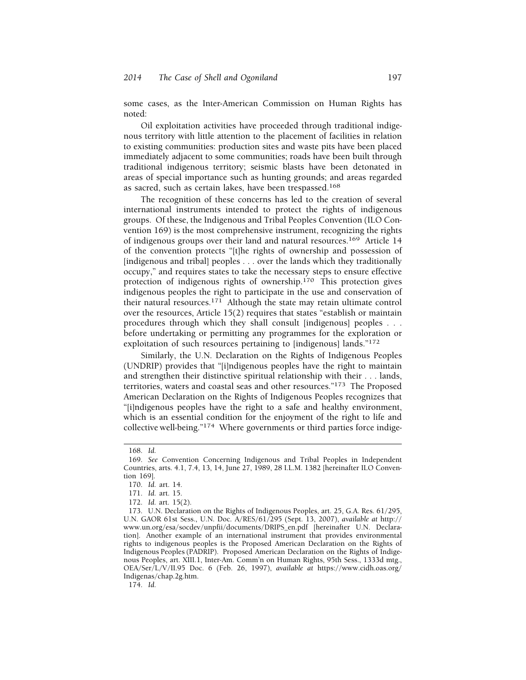some cases, as the Inter-American Commission on Human Rights has noted:

Oil exploitation activities have proceeded through traditional indigenous territory with little attention to the placement of facilities in relation to existing communities: production sites and waste pits have been placed immediately adjacent to some communities; roads have been built through traditional indigenous territory; seismic blasts have been detonated in areas of special importance such as hunting grounds; and areas regarded as sacred, such as certain lakes, have been trespassed.168

The recognition of these concerns has led to the creation of several international instruments intended to protect the rights of indigenous groups. Of these, the Indigenous and Tribal Peoples Convention (ILO Convention 169) is the most comprehensive instrument, recognizing the rights of indigenous groups over their land and natural resources.<sup>169</sup> Article 14 of the convention protects "[t]he rights of ownership and possession of [indigenous and tribal] peoples . . . over the lands which they traditionally occupy," and requires states to take the necessary steps to ensure effective protection of indigenous rights of ownership.170 This protection gives indigenous peoples the right to participate in the use and conservation of their natural resources.171 Although the state may retain ultimate control over the resources, Article 15(2) requires that states "establish or maintain procedures through which they shall consult [indigenous] peoples . . . before undertaking or permitting any programmes for the exploration or exploitation of such resources pertaining to [indigenous] lands."172

Similarly, the U.N. Declaration on the Rights of Indigenous Peoples (UNDRIP) provides that "[i]ndigenous peoples have the right to maintain and strengthen their distinctive spiritual relationship with their . . . lands, territories, waters and coastal seas and other resources."173 The Proposed American Declaration on the Rights of Indigenous Peoples recognizes that "[i]ndigenous peoples have the right to a safe and healthy environment, which is an essential condition for the enjoyment of the right to life and collective well-being."174 Where governments or third parties force indige-

<sup>168.</sup> *Id.* 

<sup>169.</sup> *See* Convention Concerning Indigenous and Tribal Peoples in Independent Countries, arts. 4.1, 7.4, 13, 14, June 27, 1989, 28 I.L.M. 1382 [hereinafter ILO Convention 169].

<sup>170.</sup> *Id.* art. 14.

<sup>171.</sup> *Id.* art. 15.

<sup>172.</sup> *Id.* art. 15(2).

<sup>173.</sup> U.N. Declaration on the Rights of Indigenous Peoples, art. 25, G.A. Res. 61/295, U.N. GAOR 61st Sess., U.N. Doc. A/RES/61/295 (Sept. 13, 2007), *available at* http:// [www.un.org/esa/socdev/unpfii/documents/DRIPS\\_en.pdf](www.un.org/esa/socdev/unpfii/documents/DRIPS_en.pdf) [hereinafter U.N. Declaration]. Another example of an international instrument that provides environmental rights to indigenous peoples is the Proposed American Declaration on the Rights of Indigenous Peoples (PADRIP). Proposed American Declaration on the Rights of Indigenous Peoples, art. XIII.1, Inter-Am. Comm'n on Human Rights, 95th Sess., 1333d mtg., [OEA/Ser/L/V/II.95](https://OEA/Ser/L/V/II.95) Doc. 6 (Feb. 26, 1997), *available at* <https://www.cidh.oas.org>/ Indigenas/chap.2g.htm.

<sup>174.</sup> *Id.*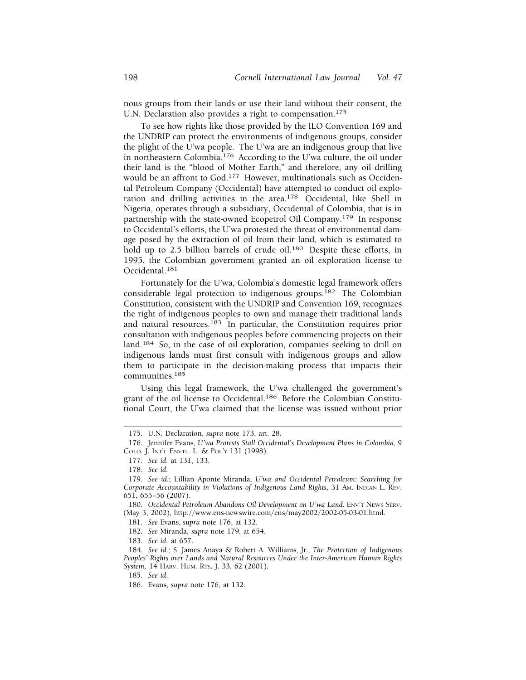nous groups from their lands or use their land without their consent, the U.N. Declaration also provides a right to compensation.<sup>175</sup>

To see how rights like those provided by the ILO Convention 169 and the UNDRIP can protect the environments of indigenous groups, consider the plight of the U'wa people. The U'wa are an indigenous group that live in northeastern Colombia.176 According to the U'wa culture, the oil under their land is the "blood of Mother Earth," and therefore, any oil drilling would be an affront to God.<sup>177</sup> However, multinationals such as Occidental Petroleum Company (Occidental) have attempted to conduct oil exploration and drilling activities in the area.178 Occidental, like Shell in Nigeria, operates through a subsidiary, Occidental of Colombia, that is in partnership with the state-owned Ecopetrol Oil Company.179 In response to Occidental's efforts, the U'wa protested the threat of environmental damage posed by the extraction of oil from their land, which is estimated to hold up to 2.5 billion barrels of crude oil.<sup>180</sup> Despite these efforts, in 1995, the Colombian government granted an oil exploration license to Occidental.<sup>181</sup>

Fortunately for the U'wa, Colombia's domestic legal framework offers considerable legal protection to indigenous groups.<sup>182</sup> The Colombian Constitution, consistent with the UNDRIP and Convention 169, recognizes the right of indigenous peoples to own and manage their traditional lands and natural resources.183 In particular, the Constitution requires prior consultation with indigenous peoples before commencing projects on their land.184 So, in the case of oil exploration, companies seeking to drill on indigenous lands must first consult with indigenous groups and allow them to participate in the decision-making process that impacts their communities.185

Using this legal framework, the U'wa challenged the government's grant of the oil license to Occidental.186 Before the Colombian Constitutional Court, the U'wa claimed that the license was issued without prior

181. *See* Evans, *supra* note 176, at 132.

183. *See id.* at 657.

<sup>175.</sup> U.N. Declaration, *supra* note 173, art. 28.

<sup>176.</sup> Jennifer Evans, *U'wa Protests Stall Occidental's Development Plans in Colombia*, 9 COLO. J. INT'L ENVTL. L. & POL'Y 131 (1998).

<sup>177.</sup> *See id.* at 131, 133.

<sup>178.</sup> *See id.* 

<sup>179.</sup> *See id.*; Lillian Aponte Miranda, *U'wa and Occidental Petroleum: Searching for Corporate Accountability in Violations of Indigenous Land Rights*, 31 AM. INDIAN L. REV. 651, 655– 56 (2007).

<sup>180.</sup> Occidental Petroleum Abandons Oil Development on U'wa Land, ENV'T NEWS SERV. (May 3, 2002), [http://www.ens-newswire.com/ens/may2002/2002-05-03-01.html.](http://www.ens-newswire.com/ens/may2002/2002-05-03-01.html)

<sup>182.</sup> *See* Miranda, *supra* note 179, at 654.

<sup>184.</sup> *See id.*; S. James Anaya & Robert A. Williams, Jr., *The Protection of Indigenous Peoples' Rights over Lands and Natural Resources Under the Inter-American Human Rights System,* 14 HARV. HUM. RTS. J. 33, 62 (2001).

<sup>185.</sup> *See id.* 

<sup>186.</sup> Evans, *supra* note 176, at 132.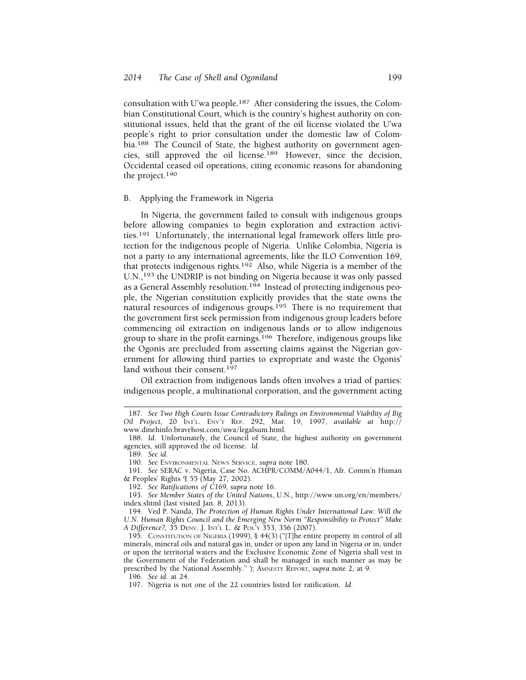consultation with U'wa people.187 After considering the issues, the Colombian Constitutional Court, which is the country's highest authority on constitutional issues, held that the grant of the oil license violated the U'wa people's right to prior consultation under the domestic law of Colombia.188 The Council of State, the highest authority on government agencies, still approved the oil license.189 However, since the decision, Occidental ceased oil operations, citing economic reasons for abandoning the project.<sup>190</sup>

#### B. Applying the Framework in Nigeria

In Nigeria, the government failed to consult with indigenous groups before allowing companies to begin exploration and extraction activities.191 Unfortunately, the international legal framework offers little protection for the indigenous people of Nigeria. Unlike Colombia, Nigeria is not a party to any international agreements, like the ILO Convention 169, that protects indigenous rights.192 Also, while Nigeria is a member of the U.N.,<sup>193</sup> the UNDRIP is not binding on Nigeria because it was only passed as a General Assembly resolution.194 Instead of protecting indigenous people, the Nigerian constitution explicitly provides that the state owns the natural resources of indigenous groups.195 There is no requirement that the government first seek permission from indigenous group leaders before commencing oil extraction on indigenous lands or to allow indigenous group to share in the profit earnings.196 Therefore, indigenous groups like the Ogonis are precluded from asserting claims against the Nigerian government for allowing third parties to expropriate and waste the Ogonis' land without their consent.<sup>197</sup>

Oil extraction from indigenous lands often involves a triad of parties: indigenous people, a multinational corporation, and the government acting

196. *See id.* at 24.

<sup>187.</sup> *See Two High Courts Issue Contradictory Rulings on Environmental Viability of Big Oil Project*, 20 INT'L. ENV'T REP. 292, Mar. 19, 1997, *available at* http:// [www.dinehinfo.bravehost.com/uwa/legalsum.html.](www.dinehinfo.bravehost.com/uwa/legalsum.html)

<sup>188.</sup> *Id.* Unfortunately, the Council of State, the highest authority on government agencies, still approved the oil license. *Id.* 

<sup>189.</sup> *See id.* 

<sup>190.</sup> *See* ENVIRONMENTAL NEWS SERVICE, *supra* note 180.

<sup>191.</sup> *See* SERAC v. Nigeria, Case No. ACHPR/COMM/A044/1, Afr. Comm'n Human & Peoples' Rights ¶ 55 (May 27, 2002).

<sup>192.</sup> *See Ratifications of C169*, *supra* note 16.

<sup>193.</sup> *See Member States of the United Nations*, U.N., <http://www.un.org/en/members>/ index.shtml (last visited Jan. 8, 2013).

<sup>194.</sup> Ved P. Nanda, *The Protection of Human Rights Under International Law: Will the U.N. Human Rights Council and the Emerging New Norm "Responsibility to Protect" Make A Difference?,* 35 DENV. J. INT'L L. & POL'Y 353, 356 (2007).

<sup>195.</sup> CONSTITUTION OF NIGERIA (1999), § 44(3) ("[T]he entire property in control of all minerals, mineral oils and natural gas in, under or upon any land in Nigeria or in, under or upon the territorial waters and the Exclusive Economic Zone of Nigeria shall vest in the Government of the Federation and shall be managed in such manner as may be prescribed by the National Assembly." ); AMNESTY REPORT, *supra* note 2, at 9.

<sup>197.</sup> Nigeria is not one of the 22 countries listed for ratification. *Id.*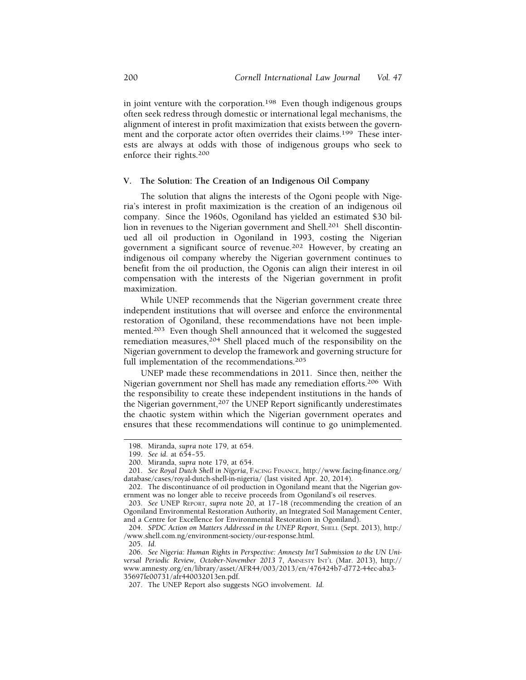in joint venture with the corporation.<sup>198</sup> Even though indigenous groups often seek redress through domestic or international legal mechanisms, the alignment of interest in profit maximization that exists between the government and the corporate actor often overrides their claims.<sup>199</sup> These interests are always at odds with those of indigenous groups who seek to enforce their rights.<sup>200</sup>

## **V. The Solution: The Creation of an Indigenous Oil Company**

The solution that aligns the interests of the Ogoni people with Nigeria's interest in profit maximization is the creation of an indigenous oil company. Since the 1960s, Ogoniland has yielded an estimated \$30 billion in revenues to the Nigerian government and Shell.<sup>201</sup> Shell discontinued all oil production in Ogoniland in 1993, costing the Nigerian government a significant source of revenue.202 However, by creating an indigenous oil company whereby the Nigerian government continues to benefit from the oil production, the Ogonis can align their interest in oil compensation with the interests of the Nigerian government in profit maximization.

While UNEP recommends that the Nigerian government create three independent institutions that will oversee and enforce the environmental restoration of Ogoniland, these recommendations have not been implemented.<sup>203</sup> Even though Shell announced that it welcomed the suggested remediation measures,  $204$  Shell placed much of the responsibility on the Nigerian government to develop the framework and governing structure for full implementation of the recommendations.<sup>205</sup>

UNEP made these recommendations in 2011. Since then, neither the Nigerian government nor Shell has made any remediation efforts.206 With the responsibility to create these independent institutions in the hands of the Nigerian government,<sup>207</sup> the UNEP Report significantly underestimates the chaotic system within which the Nigerian government operates and ensures that these recommendations will continue to go unimplemented.

<sup>198.</sup> Miranda, *supra* note 179, at 654.

<sup>199.</sup> *See id.* at 654-55.

<sup>200.</sup> Miranda, *supra* note 179, at 654.

<sup>201.</sup> *See Royal Dutch Shell in Nigeria*, FACING FINANCE, <http://www.facing-finance.org>/ database/cases/royal-dutch-shell-in-nigeria/ (last visited Apr. 20, 2014).

<sup>202.</sup> The discontinuance of oil production in Ogoniland meant that the Nigerian government was no longer able to receive proceeds from Ogoniland's oil reserves.

<sup>203.</sup> *See* UNEP REPORT, *supra* note 20, at 17– 18 (recommending the creation of an Ogoniland Environmental Restoration Authority, an Integrated Soil Management Center, and a Centre for Excellence for Environmental Restoration in Ogoniland).

<sup>204.</sup> *SPDC Action on Matters Addressed in the UNEP Report*, SHELL (Sept. 2013), http:/ /<www.shell.com.ng/environment-society/our-response.html>.

<sup>205.</sup> *Id.* 

<sup>206.</sup> *See Nigeria: Human Rights in Perspective: Amnesty Int'l Submission to the UN Universal Periodic Review, October-November 2013* 7, AMNESTY INT'L (Mar. 2013), http:// <www.amnesty.org/en/library/asset/AFR44/003/2013/en/476424b7-d772-44ec-aba3>- 35697fe00731/afr440032013en.pdf.

<sup>207.</sup> The UNEP Report also suggests NGO involvement. *Id.*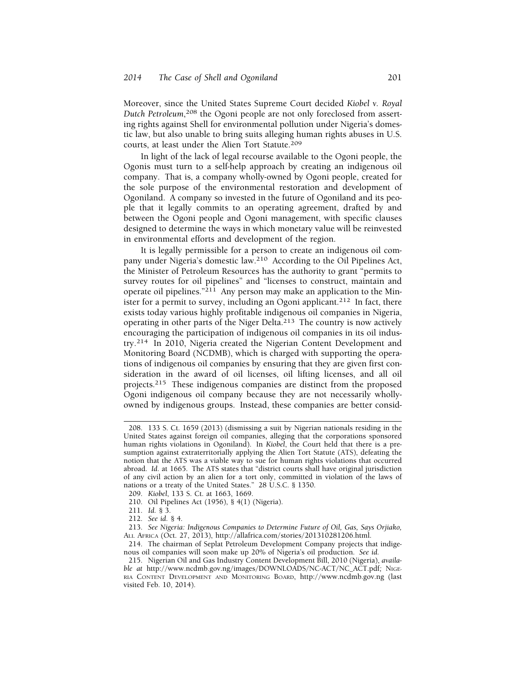Moreover, since the United States Supreme Court decided *Kiobel v. Royal*  Dutch Petroleum,<sup>208</sup> the Ogoni people are not only foreclosed from asserting rights against Shell for environmental pollution under Nigeria's domestic law, but also unable to bring suits alleging human rights abuses in U.S. courts, at least under the Alien Tort Statute.209

In light of the lack of legal recourse available to the Ogoni people, the Ogonis must turn to a self-help approach by creating an indigenous oil company. That is, a company wholly-owned by Ogoni people, created for the sole purpose of the environmental restoration and development of Ogoniland. A company so invested in the future of Ogoniland and its people that it legally commits to an operating agreement, drafted by and between the Ogoni people and Ogoni management, with specific clauses designed to determine the ways in which monetary value will be reinvested in environmental efforts and development of the region.

It is legally permissible for a person to create an indigenous oil company under Nigeria's domestic law.210 According to the Oil Pipelines Act, the Minister of Petroleum Resources has the authority to grant "permits to survey routes for oil pipelines" and "licenses to construct, maintain and operate oil pipelines." $^{211}$  Any person may make an application to the Minister for a permit to survey, including an Ogoni applicant.<sup>212</sup> In fact, there exists today various highly profitable indigenous oil companies in Nigeria, operating in other parts of the Niger Delta.213 The country is now actively encouraging the participation of indigenous oil companies in its oil industry.214 In 2010, Nigeria created the Nigerian Content Development and Monitoring Board (NCDMB), which is charged with supporting the operations of indigenous oil companies by ensuring that they are given first consideration in the award of oil licenses, oil lifting licenses, and all oil projects.215 These indigenous companies are distinct from the proposed Ogoni indigenous oil company because they are not necessarily whollyowned by indigenous groups. Instead, these companies are better consid-

<sup>208. 133</sup> S. Ct. 1659 (2013) (dismissing a suit by Nigerian nationals residing in the United States against foreign oil companies, alleging that the corporations sponsored human rights violations in Ogoniland). In *Kiobel*, the Court held that there is a presumption against extraterritorially applying the Alien Tort Statute (ATS), defeating the notion that the ATS was a viable way to sue for human rights violations that occurred abroad. *Id.* at 1665. The ATS states that "district courts shall have original jurisdiction of any civil action by an alien for a tort only, committed in violation of the laws of nations or a treaty of the United States." 28 U.S.C. § 1350.

<sup>209.</sup> *Kiobel*, 133 S. Ct. at 1663, 1669.

<sup>210.</sup> Oil Pipelines Act (1956), § 4(1) (Nigeria).

<sup>211.</sup> *Id.* § 3.

<sup>212.</sup> *See id.* § 4.

<sup>213.</sup> *See Nigeria: Indigenous Companies to Determine Future of Oil, Gas, Says Orjiako,*  ALL AFRICA (Oct. 27, 2013), [http://allafrica.com/stories/201310281206.html.](http://allafrica.com/stories/201310281206.html)

<sup>214.</sup> The chairman of Seplat Petroleum Development Company projects that indigenous oil companies will soon make up 20% of Nigeria's oil production. *See id.* 

<sup>215.</sup> Nigerian Oil and Gas Industry Content Development Bill, 2010 (Nigeria), *available at* [http://www.ncdmb.gov.ng/images/DOWNLOADS/NC-ACT/NC\\_ACT.pdf](http://www.ncdmb.gov.ng/images/DOWNLOADS/NC-ACT/NC_ACT.pdf)*;* NIGE-RIA CONTENT DEVELOPMENT AND MONITORING BOARD, <http://www.ncdmb.gov.ng> (last visited Feb. 10, 2014).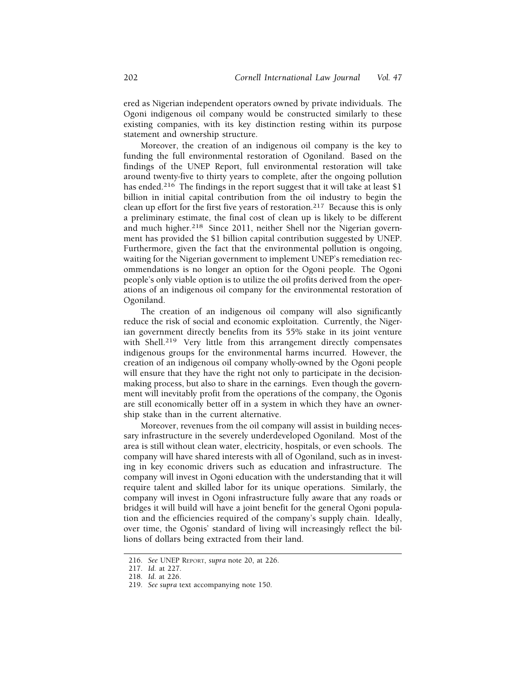ered as Nigerian independent operators owned by private individuals. The Ogoni indigenous oil company would be constructed similarly to these existing companies, with its key distinction resting within its purpose statement and ownership structure.

Moreover, the creation of an indigenous oil company is the key to funding the full environmental restoration of Ogoniland. Based on the findings of the UNEP Report, full environmental restoration will take around twenty-five to thirty years to complete, after the ongoing pollution has ended.<sup>216</sup> The findings in the report suggest that it will take at least \$1 billion in initial capital contribution from the oil industry to begin the clean up effort for the first five years of restoration.<sup>217</sup> Because this is only a preliminary estimate, the final cost of clean up is likely to be different and much higher.<sup>218</sup> Since 2011, neither Shell nor the Nigerian government has provided the \$1 billion capital contribution suggested by UNEP. Furthermore, given the fact that the environmental pollution is ongoing, waiting for the Nigerian government to implement UNEP's remediation recommendations is no longer an option for the Ogoni people. The Ogoni people's only viable option is to utilize the oil profits derived from the operations of an indigenous oil company for the environmental restoration of Ogoniland.

The creation of an indigenous oil company will also significantly reduce the risk of social and economic exploitation. Currently, the Nigerian government directly benefits from its 55% stake in its joint venture with Shell.<sup>219</sup> Very little from this arrangement directly compensates indigenous groups for the environmental harms incurred. However, the creation of an indigenous oil company wholly-owned by the Ogoni people will ensure that they have the right not only to participate in the decisionmaking process, but also to share in the earnings. Even though the government will inevitably profit from the operations of the company, the Ogonis are still economically better off in a system in which they have an ownership stake than in the current alternative.

Moreover, revenues from the oil company will assist in building necessary infrastructure in the severely underdeveloped Ogoniland. Most of the area is still without clean water, electricity, hospitals, or even schools. The company will have shared interests with all of Ogoniland, such as in investing in key economic drivers such as education and infrastructure. The company will invest in Ogoni education with the understanding that it will require talent and skilled labor for its unique operations. Similarly, the company will invest in Ogoni infrastructure fully aware that any roads or bridges it will build will have a joint benefit for the general Ogoni population and the efficiencies required of the company's supply chain. Ideally, over time, the Ogonis' standard of living will increasingly reflect the billions of dollars being extracted from their land.

<sup>216.</sup> *See* UNEP REPORT, *supra* note 20, at 226.

<sup>217.</sup> *Id.* at 227.

<sup>218.</sup> *Id*. at 226.

<sup>219.</sup> *See supra* text accompanying note 150.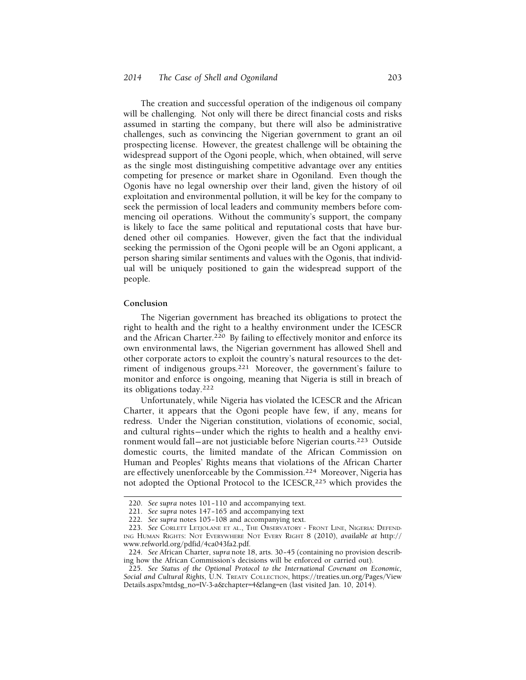The creation and successful operation of the indigenous oil company will be challenging. Not only will there be direct financial costs and risks assumed in starting the company, but there will also be administrative challenges, such as convincing the Nigerian government to grant an oil prospecting license. However, the greatest challenge will be obtaining the widespread support of the Ogoni people, which, when obtained, will serve as the single most distinguishing competitive advantage over any entities competing for presence or market share in Ogoniland. Even though the Ogonis have no legal ownership over their land, given the history of oil exploitation and environmental pollution, it will be key for the company to seek the permission of local leaders and community members before commencing oil operations. Without the community's support, the company is likely to face the same political and reputational costs that have burdened other oil companies. However, given the fact that the individual seeking the permission of the Ogoni people will be an Ogoni applicant, a person sharing similar sentiments and values with the Ogonis, that individual will be uniquely positioned to gain the widespread support of the people.

#### **Conclusion**

The Nigerian government has breached its obligations to protect the right to health and the right to a healthy environment under the ICESCR and the African Charter.<sup>220</sup> By failing to effectively monitor and enforce its own environmental laws, the Nigerian government has allowed Shell and other corporate actors to exploit the country's natural resources to the detriment of indigenous groups.221 Moreover, the government's failure to monitor and enforce is ongoing, meaning that Nigeria is still in breach of its obligations today.<sup>222</sup>

Unfortunately, while Nigeria has violated the ICESCR and the African Charter, it appears that the Ogoni people have few, if any, means for redress. Under the Nigerian constitution, violations of economic, social, and cultural rights–under which the rights to health and a healthy environment would fall—are not justiciable before Nigerian courts.<sup>223</sup> Outside domestic courts, the limited mandate of the African Commission on Human and Peoples' Rights means that violations of the African Charter are effectively unenforceable by the Commission.224 Moreover, Nigeria has not adopted the Optional Protocol to the ICESCR,<sup>225</sup> which provides the

<sup>220.</sup> *See supra* notes 101-110 and accompanying text.

<sup>221.</sup> *See supra* notes 147– 165 and accompanying text

<sup>222.</sup> *See supra* notes 105– 108 and accompanying text.

<sup>223.</sup> *See* CORLETT LETJOLANE ET AL., THE OBSERVATORY - FRONT LINE, NIGERIA: DEFEND-ING HUMAN RIGHTS: NOT EVERYWHERE NOT EVERY RIGHT 8 (2010), *available at* http:// [www.refworld.org/pdfid/4ca043fa2.pdf.](www.refworld.org/pdfid/4ca043fa2.pdf)

<sup>224.</sup> *See* African Charter, *supra* note 18, arts. 30– 45 (containing no provision describing how the African Commission's decisions will be enforced or carried out).

<sup>225.</sup> *See Status of the Optional Protocol to the International Covenant on Economic, Social and Cultural Rights*, U.N. TREATY COLLECTION, <https://treaties.un.org/Pages/View> Details.aspx?mtdsg\_no=IV-3-a&chapter=4&lang=en (last visited Jan. 10, 2014).